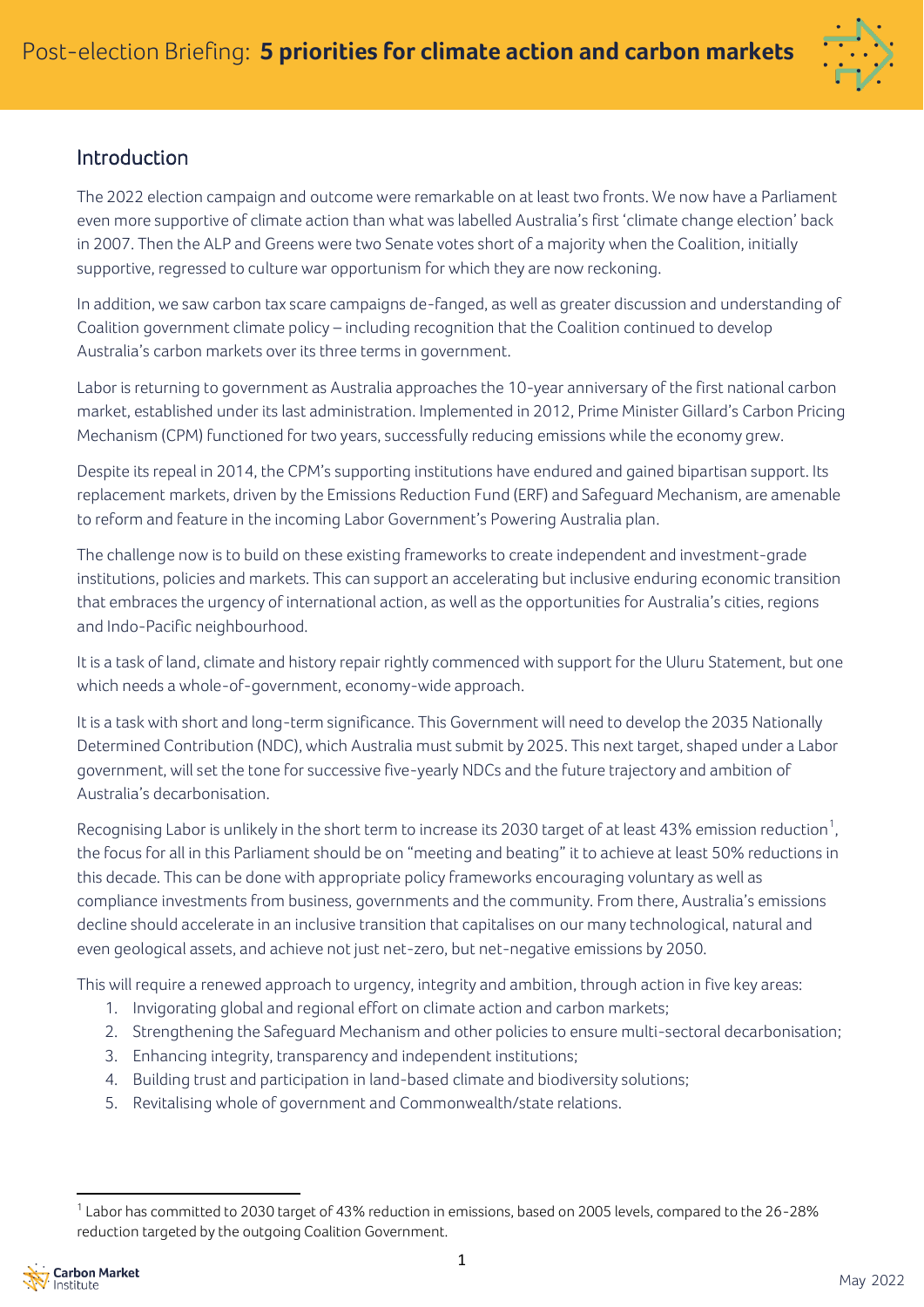

# Introduction

The 2022 election campaign and outcome were remarkable on at least two fronts. We now have a Parliament even more supportive of climate action than what was labelled Australia's first 'climate change election' back in 2007. Then the ALP and Greens were two Senate votes short of a majority when the Coalition, initially supportive, regressed to culture war opportunism for which they are now reckoning.

In addition, we saw carbon tax scare campaigns de-fanged, as well as greater discussion and understanding of Coalition government climate policy – including recognition that the Coalition continued to develop Australia's carbon markets over its three terms in government.

Labor is returning to government as Australia approaches the 10-year anniversary of the first national carbon market, established under its last administration. Implemented in 2012, Prime Minister Gillard's Carbon Pricing Mechanism (CPM) functioned for two years, successfully reducing emissions while the economy grew.

Despite its repeal in 2014, the CPM's supporting institutions have endured and gained bipartisan support. Its replacement markets, driven by the Emissions Reduction Fund (ERF) and Safeguard Mechanism, are amenable to reform and feature in the incoming Labor Government's Powering Australia plan.

The challenge now is to build on these existing frameworks to create independent and investment-grade institutions, policies and markets. This can support an accelerating but inclusive enduring economic transition that embraces the urgency of international action, as well as the opportunities for Australia's cities, regions and Indo-Pacific neighbourhood.

It is a task of land, climate and history repair rightly commenced with support for the Uluru Statement, but one which needs a whole-of-government, economy-wide approach.

It is a task with short and long-term significance. This Government will need to develop the 2035 Nationally Determined Contribution (NDC), which Australia must submit by 2025. This next target, shaped under a Labor government, will set the tone for successive five-yearly NDCs and the future trajectory and ambition of Australia's decarbonisation.

Recognising Labor is unlikely in the short term to increase its 2030 target of at least 43% emission reduction $^{\rm 1}$ , the focus for all in this Parliament should be on "meeting and beating" it to achieve at least 50% reductions in this decade. This can be done with appropriate policy frameworks encouraging voluntary as well as compliance investments from business, governments and the community. From there, Australia's emissions decline should accelerate in an inclusive transition that capitalises on our many technological, natural and even geological assets, and achieve not just net-zero, but net-negative emissions by 2050.

This will require a renewed approach to urgency, integrity and ambition, through action in five key areas:

- 1. Invigorating global and regional effort on climate action and carbon markets;
- 2. Strengthening the Safeguard Mechanism and other policies to ensure multi-sectoral decarbonisation;
- 3. Enhancing integrity, transparency and independent institutions;
- 4. Building trust and participation in land-based climate and biodiversity solutions;
- 5. Revitalising whole of government and Commonwealth/state relations.

 $^1$  Labor has committed to 2030 target of 43% reduction in emissions, based on 2005 levels, compared to the 26-28% reduction targeted by the outgoing Coalition Government.

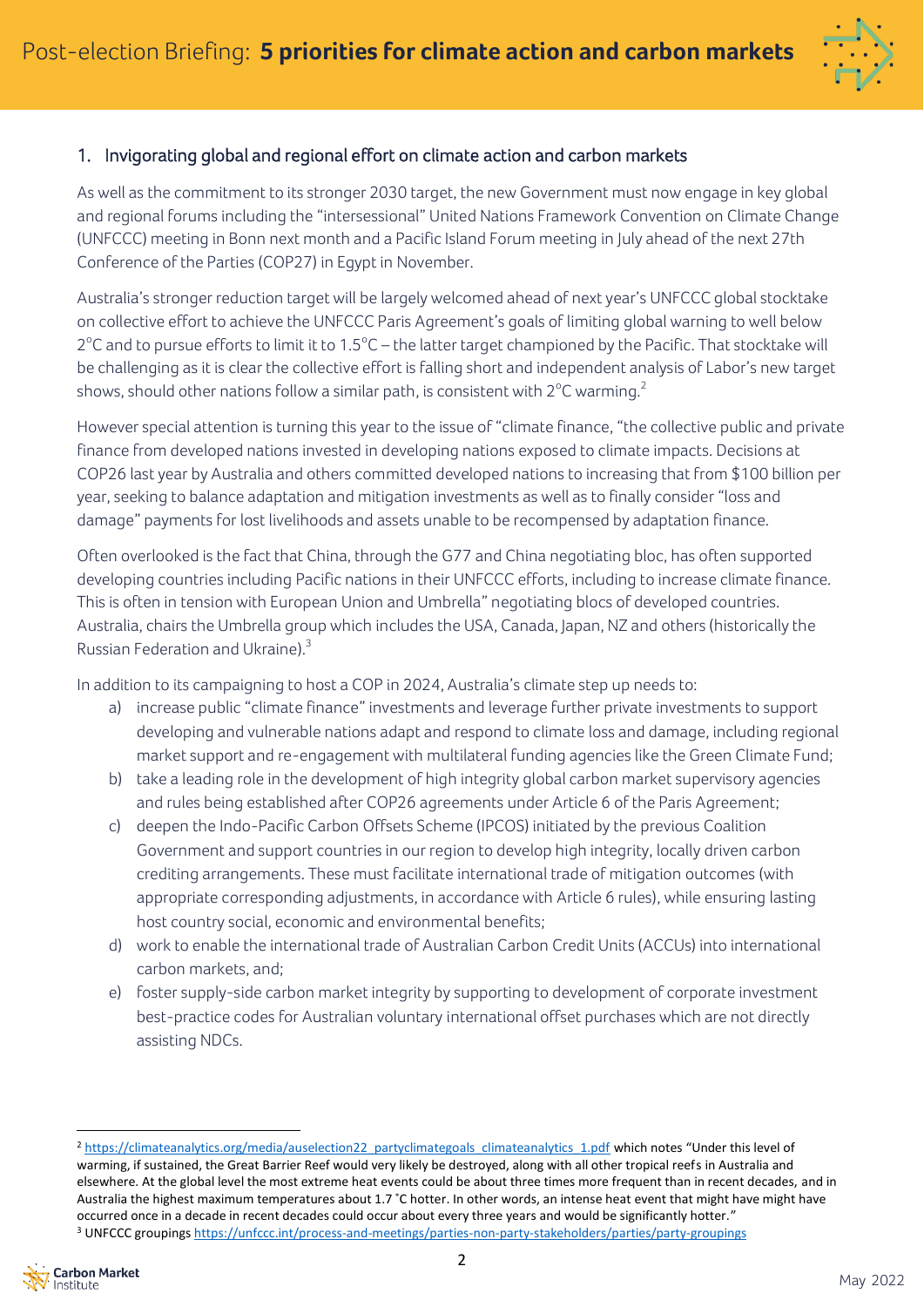

# 1. Invigorating global and regional effort on climate action and carbon markets

As well as the commitment to its stronger 2030 target, the new Government must now engage in key global and regional forums including the "intersessional" United Nations Framework Convention on Climate Change (UNFCCC) meeting in Bonn next month and a Pacific Island Forum meeting in July ahead of the next 27th Conference of the Parties (COP27) in Egypt in November.

Australia's stronger reduction target will be largely welcomed ahead of next year's UNFCCC global stocktake on collective effort to achieve the UNFCCC Paris Agreement's goals of limiting global warning to well below 2°C and to pursue efforts to limit it to 1.5°C – the latter target championed by the Pacific. That stocktake will be challenging as it is clear the collective effort is falling short and independent analysis of Labor's new target shows, should other nations follow a similar path, is consistent with 2°C warming. $^2$ 

However special attention is turning this year to the issue of "climate finance, "the collective public and private finance from developed nations invested in developing nations exposed to climate impacts. Decisions at COP26 last year by Australia and others committed developed nations to increasing that from \$100 billion per year, seeking to balance adaptation and mitigation investments as well as to finally consider "loss and damage" payments for lost livelihoods and assets unable to be recompensed by adaptation finance.

Often overlooked is the fact that China, through the G77 and China negotiating bloc, has often supported developing countries including Pacific nations in their UNFCCC efforts, including to increase climate finance. This is often in tension with European Union and Umbrella" negotiating blocs of developed countries. Australia, chairs the Umbrella group which includes the USA, Canada, Japan, NZ and others (historically the Russian Federation and Ukraine). $3$ 

In addition to its campaigning to host a COP in 2024, Australia's climate step up needs to:

- a) increase public "climate finance" investments and leverage further private investments to support developing and vulnerable nations adapt and respond to climate loss and damage, including regional market support and re-engagement with multilateral funding agencies like the Green Climate Fund;
- b) take a leading role in the development of high integrity global carbon market supervisory agencies and rules being established after COP26 agreements under Article 6 of the Paris Agreement;
- c) deepen the Indo-Pacific Carbon Offsets Scheme (IPCOS) initiated by the previous Coalition Government and support countries in our region to develop high integrity, locally driven carbon crediting arrangements. These must facilitate international trade of mitigation outcomes (with appropriate corresponding adjustments, in accordance with Article 6 rules), while ensuring lasting host country social, economic and environmental benefits;
- d) work to enable the international trade of Australian Carbon Credit Units (ACCUs) into international carbon markets, and;
- e) foster supply-side carbon market integrity by supporting to development of corporate investment best-practice codes for Australian voluntary international offset purchases which are not directly assisting NDCs.

<sup>&</sup>lt;sup>2</sup> [https://climateanalytics.org/media/auselection22\\_partyclimategoals\\_climateanalytics\\_1.pdf](https://climateanalytics.org/media/auselection22_partyclimategoals_climateanalytics_1.pdf) which notes "Under this level of warming, if sustained, the Great Barrier Reef would very likely be destroyed, along with all other tropical reefs in Australia and elsewhere. At the global level the most extreme heat events could be about three times more frequent than in recent decades, and in Australia the highest maximum temperatures about 1.7 ˚C hotter. In other words, an intense heat event that might have might have occurred once in a decade in recent decades could occur about every three years and would be significantly hotter." <sup>3</sup> UNFCCC grouping[s https://unfccc.int/process-and-meetings/parties-non-party-stakeholders/parties/party-groupings](https://unfccc.int/process-and-meetings/parties-non-party-stakeholders/parties/party-groupings)

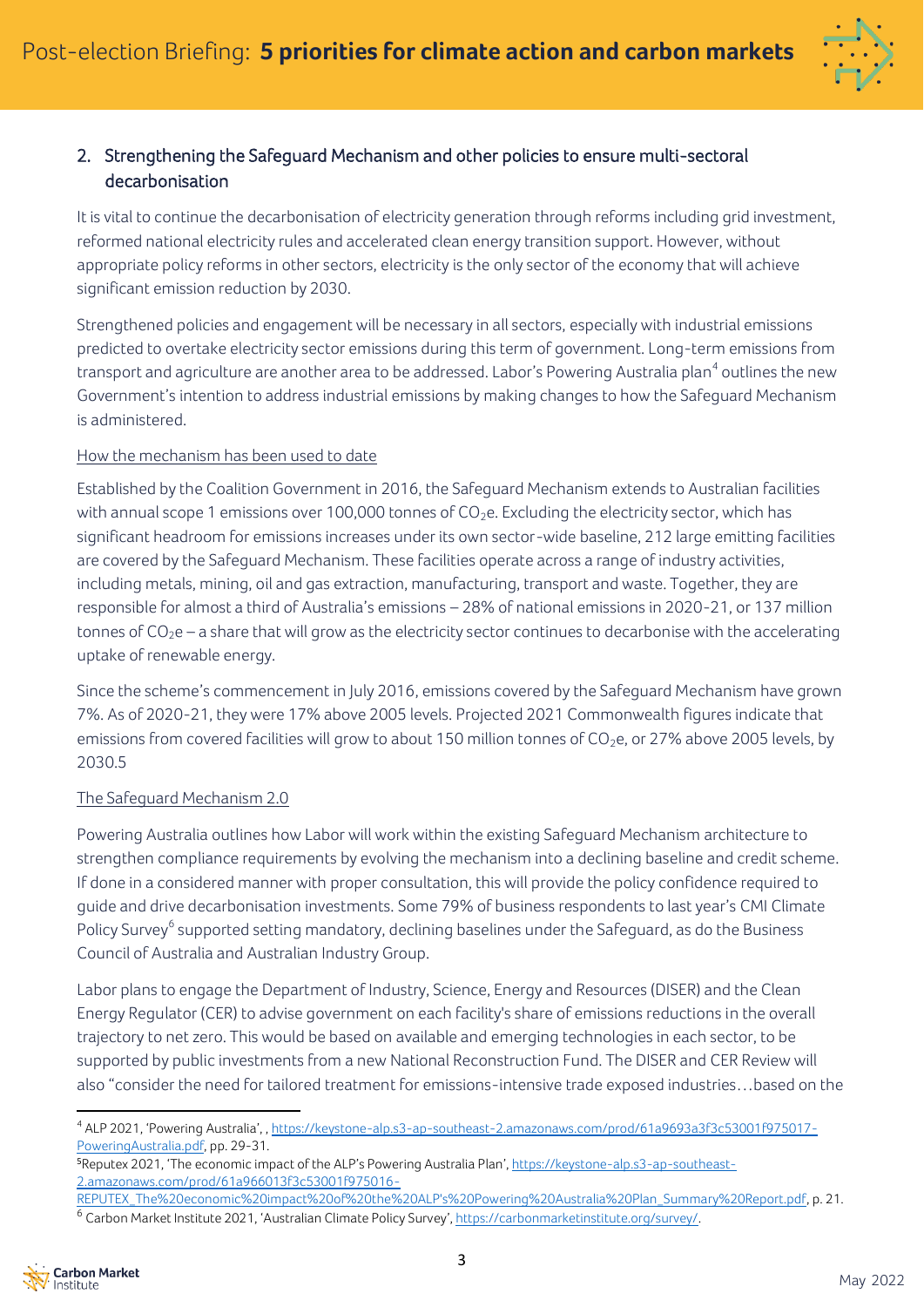

# 2. Strengthening the Safeguard Mechanism and other policies to ensure multi-sectoral decarbonisation

It is vital to continue the decarbonisation of electricity generation through reforms including grid investment, reformed national electricity rules and accelerated clean energy transition support. However, without appropriate policy reforms in other sectors, electricity is the only sector of the economy that will achieve significant emission reduction by 2030.

Strengthened policies and engagement will be necessary in all sectors, especially with industrial emissions predicted to overtake electricity sector emissions during this term of government. Long-term emissions from transport and agriculture are another area to be addressed. Labor's Powering Australia plan<sup>4</sup> outlines the new Government's intention to address industrial emissions by making changes to how the Safeguard Mechanism is administered.

## How the mechanism has been used to date

Established by the Coalition Government in 2016, the Safeguard Mechanism extends to Australian facilities with annual scope 1 emissions over 100,000 tonnes of  $CO<sub>2</sub>e$ . Excluding the electricity sector, which has significant headroom for emissions increases under its own sector-wide baseline, 212 large emitting facilities are covered by the Safeguard Mechanism. These facilities operate across a range of industry activities, including metals, mining, oil and gas extraction, manufacturing, transport and waste. Together, they are responsible for almost a third of Australia's emissions – 28% of national emissions in 2020-21, or 137 million tonnes of  $CO<sub>2</sub>e$  – a share that will grow as the electricity sector continues to decarbonise with the accelerating uptake of renewable energy.

Since the scheme's commencement in July 2016, emissions covered by the Safeguard Mechanism have grown 7%. As of 2020-21, they were 17% above 2005 levels. Projected 2021 Commonwealth figures indicate that emissions from covered facilities will grow to about 150 million tonnes of CO<sub>2</sub>e, or 27% above 2005 levels, by 2030.5

## The Safeguard Mechanism 2.0

Powering Australia outlines how Labor will work within the existing Safeguard Mechanism architecture to strengthen compliance requirements by evolving the mechanism into a declining baseline and credit scheme. If done in a considered manner with proper consultation, this will provide the policy confidence required to guide and drive decarbonisation investments. Some 79% of business respondents to last year's CMI Climate Policy Survey<sup>6</sup> supported setting mandatory, declining baselines under the Safeguard, as do the Business Council of Australia and Australian Industry Group.

Labor plans to engage the Department of Industry, Science, Energy and Resources (DISER) and the Clean Energy Regulator (CER) to advise government on each facility's share of emissions reductions in the overall trajectory to net zero. This would be based on available and emerging technologies in each sector, to be supported by public investments from a new National Reconstruction Fund. The DISER and CER Review will also "consider the need for tailored treatment for emissions-intensive trade exposed industries…based on the

[REPUTEX\\_The%20economic%20impact%20of%20the%20ALP's%20Powering%20Australia%20Plan\\_Summary%20Report.pdf,](https://keystone-alp.s3-ap-southeast-2.amazonaws.com/prod/61a966013f3c53001f975016-REPUTEX_The%20economic%20impact%20of%20the%20ALP) p. 21. <sup>6</sup> Carbon Market Institute 2021, 'Australian Climate Policy Survey', [https://carbonmarketinstitute.org/survey/.](https://carbonmarketinstitute.org/survey/)



<sup>4</sup> ALP 2021, 'Powering Australia', , [https://keystone-alp.s3-ap-southeast-2.amazonaws.com/prod/61a9693a3f3c53001f975017-](https://keystone-alp.s3-ap-southeast-2.amazonaws.com/prod/61a9693a3f3c53001f975017-PoweringAustralia.pdf) [PoweringAustralia.pdf,](https://keystone-alp.s3-ap-southeast-2.amazonaws.com/prod/61a9693a3f3c53001f975017-PoweringAustralia.pdf) pp. 29-31.

<sup>5</sup>Reputex 2021, 'The economic impact of the ALP's Powering Australia Plan'[, https://keystone-alp.s3-ap-southeast-](https://keystone-alp.s3-ap-southeast-2.amazonaws.com/prod/61a966013f3c53001f975016-REPUTEX_The%20economic%20impact%20of%20the%20ALP)[2.amazonaws.com/prod/61a966013f3c53001f975016-](https://keystone-alp.s3-ap-southeast-2.amazonaws.com/prod/61a966013f3c53001f975016-REPUTEX_The%20economic%20impact%20of%20the%20ALP)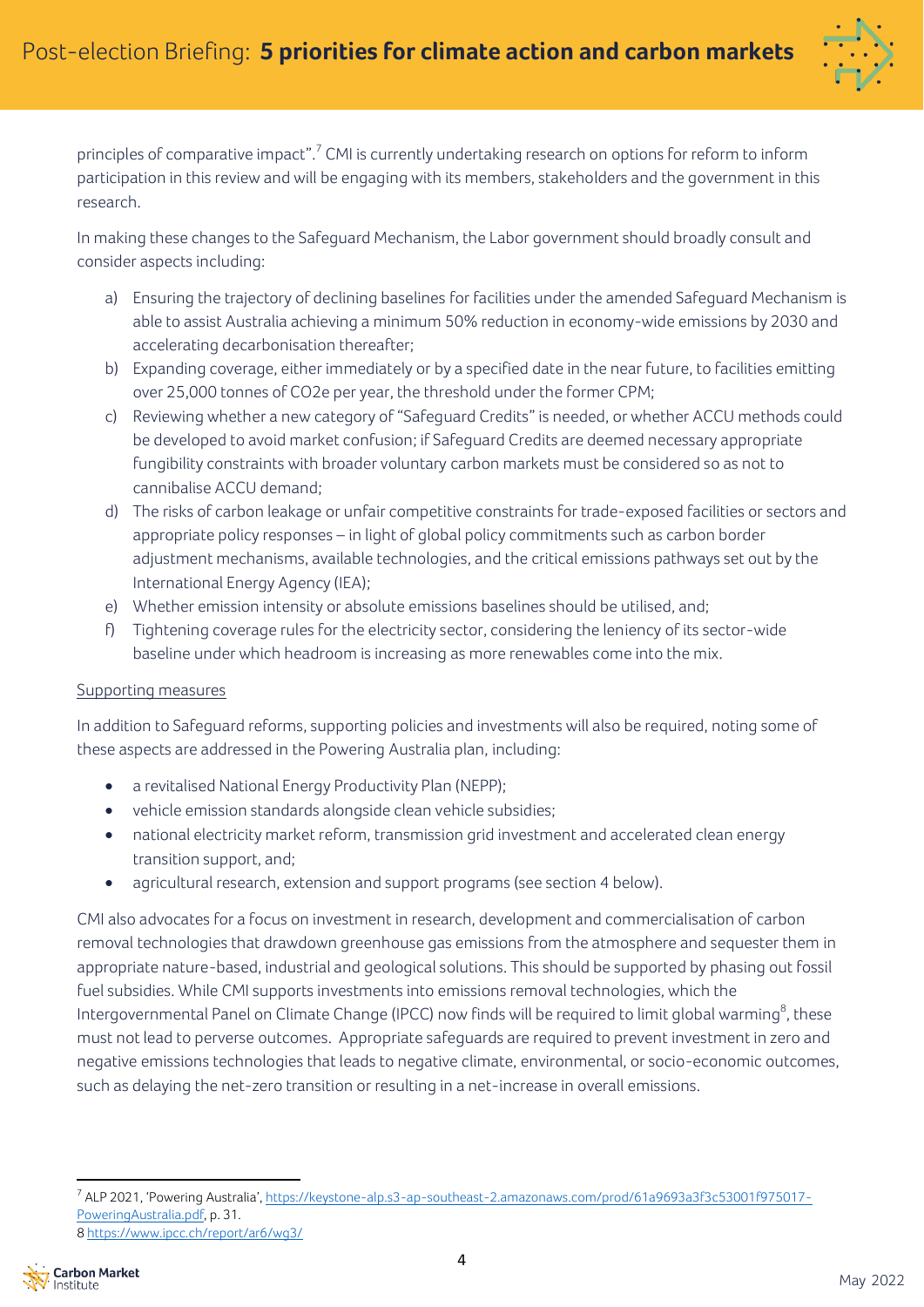

principles of comparative impact".<sup>7</sup> CMI is currently undertaking research on options for reform to inform participation in this review and will be engaging with its members, stakeholders and the government in this research.

In making these changes to the Safeguard Mechanism, the Labor government should broadly consult and consider aspects including:

- a) Ensuring the trajectory of declining baselines for facilities under the amended Safeguard Mechanism is able to assist Australia achieving a minimum 50% reduction in economy-wide emissions by 2030 and accelerating decarbonisation thereafter;
- b) Expanding coverage, either immediately or by a specified date in the near future, to facilities emitting over 25,000 tonnes of CO2e per year, the threshold under the former CPM;
- c) Reviewing whether a new category of "Safeguard Credits"is needed, or whether ACCU methods could be developed to avoid market confusion; if Safeguard Credits are deemed necessary appropriate fungibility constraints with broader voluntary carbon markets must be considered so as not to cannibalise ACCU demand;
- d) The risks of carbon leakage or unfair competitive constraints for trade-exposed facilities or sectors and appropriate policy responses – in light of global policy commitments such as carbon border adjustment mechanisms, available technologies, and the critical emissions pathways set out by the International Energy Agency (IEA);
- e) Whether emission intensity or absolute emissions baselines should be utilised, and;
- f) Tightening coverage rules for the electricity sector, considering the leniency of its sector-wide baseline under which headroom is increasing as more renewables come into the mix.

## Supporting measures

In addition to Safeguard reforms, supporting policies and investments will also be required, noting some of these aspects are addressed in the Powering Australia plan, including:

- a revitalised National Energy Productivity Plan (NEPP);
- vehicle emission standards alongside clean vehicle subsidies;
- national electricity market reform, transmission grid investment and accelerated clean energy transition support, and;
- agricultural research, extension and support programs (see section 4 below).

CMI also advocates for a focus on investment in research, development and commercialisation of carbon removal technologies that drawdown greenhouse gas emissions from the atmosphere and sequester them in appropriate nature-based, industrial and geological solutions. This should be supported by phasing out fossil fuel subsidies. While CMI supports investments into emissions removal technologies, which the Intergovernmental Panel on Climate Change (IPCC) now finds will be required to limit global warming $^8$ , these must not lead to perverse outcomes. Appropriate safeguards are required to prevent investment in zero and negative emissions technologies that leads to negative climate, environmental, or socio-economic outcomes, such as delaying the net-zero transition or resulting in a net-increase in overall emissions.

<sup>7</sup> ALP 2021, 'Powering Australia', [https://keystone-alp.s3-ap-southeast-2.amazonaws.com/prod/61a9693a3f3c53001f975017-](https://keystone-alp.s3-ap-southeast-2.amazonaws.com/prod/61a9693a3f3c53001f975017-PoweringAustralia.pdf) [PoweringAustralia.pdf,](https://keystone-alp.s3-ap-southeast-2.amazonaws.com/prod/61a9693a3f3c53001f975017-PoweringAustralia.pdf) p. 31. 8 <https://www.ipcc.ch/report/ar6/wg3/>

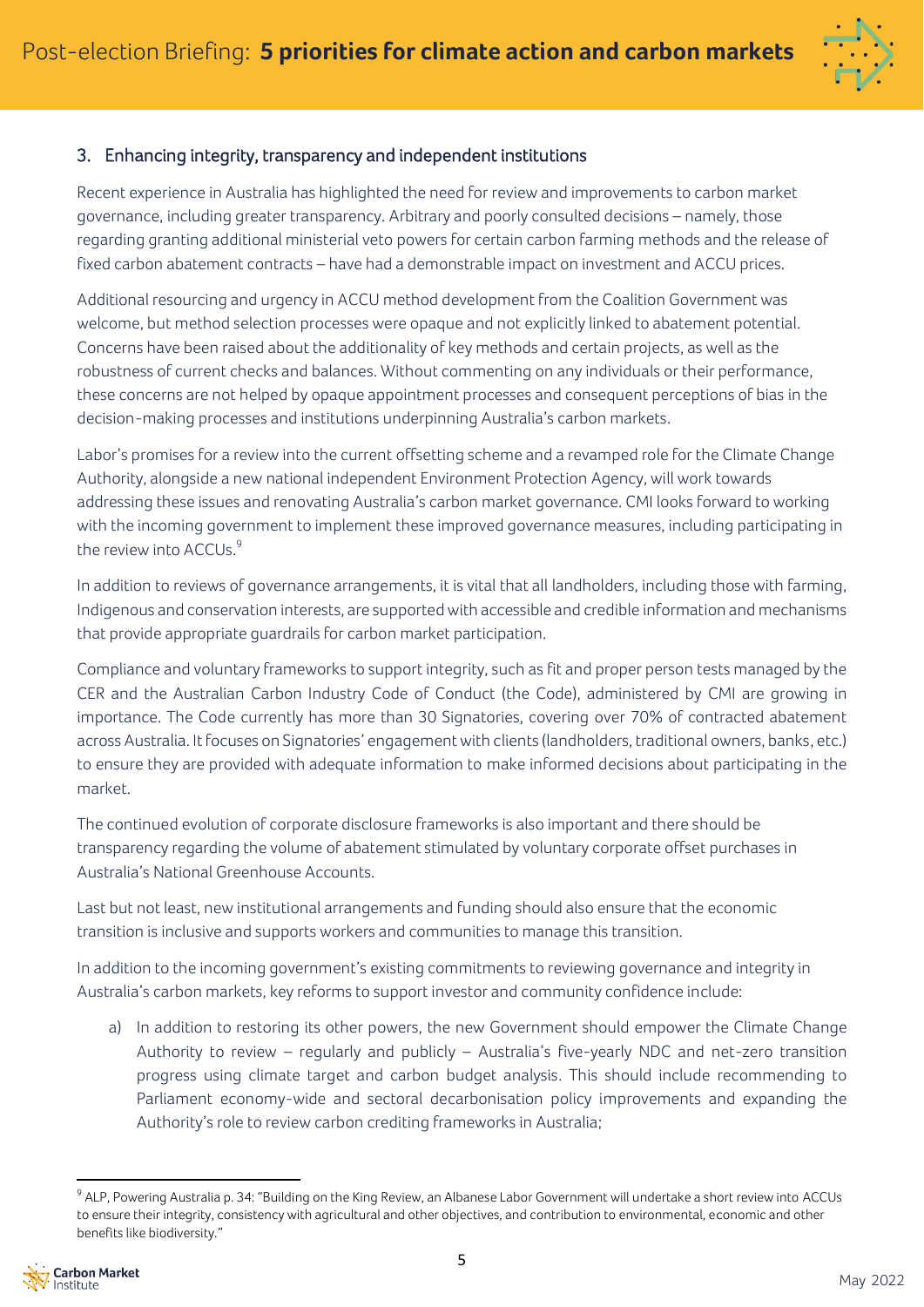

# 3. Enhancing integrity, transparency and independent institutions

Recent experience in Australia has highlighted the need for review and improvements to carbon market governance, including greater transparency. Arbitrary and poorly consulted decisions – namely, those regarding granting additional ministerial veto powers for certain carbon farming methods and the release of fixed carbon abatement contracts – have had a demonstrable impact on investment and ACCU prices.

Additional resourcing and urgency in ACCU method development from the Coalition Government was welcome, but method selection processes were opaque and not explicitly linked to abatement potential. Concerns have been raised about the additionality of key methods and certain projects, as well as the robustness of current checks and balances. Without commenting on any individuals or their performance, these concerns are not helped by opaque appointment processes and consequent perceptions of bias in the decision-making processes and institutions underpinning Australia's carbon markets.

Labor's promises for a review into the current offsetting scheme and a revamped role for the Climate Change Authority, alongside a new national independent Environment Protection Agency, will work towards addressing these issues and renovating Australia's carbon market governance. CMI looks forward to working with the incoming government to implement these improved governance measures, including participating in the review into ACCUs.<sup>9</sup>

In addition to reviews of governance arrangements, it is vital that all landholders, including those with farming, Indigenous and conservation interests, are supported with accessible and credible information and mechanisms that provide appropriate guardrails for carbon market participation.

Compliance and voluntary frameworks to support integrity, such as fit and proper person tests managed by the CER and the Australian Carbon Industry Code of Conduct (the Code), administered by CMI are growing in importance. The Code currently has more than 30 Signatories, covering over 70% of contracted abatement across Australia. Itfocuses on Signatories' engagement with clients (landholders, traditional owners, banks, etc.) to ensure they are provided with adequate information to make informed decisions about participating in the market.

The continued evolution of corporate disclosure frameworks is also important and there should be transparency regarding the volume of abatement stimulated by voluntary corporate offset purchases in Australia's National Greenhouse Accounts.

Last but not least, new institutional arrangements and funding should also ensure that the economic transition is inclusive and supports workers and communities to manage this transition.

In addition to the incoming government's existing commitments to reviewing governance and integrity in Australia's carbon markets, key reforms to support investor and community confidence include:

a) In addition to restoring its other powers, the new Government should empower the Climate Change Authority to review – regularly and publicly – Australia's five-yearly NDC and net-zero transition progress using climate target and carbon budget analysis. This should include recommending to Parliament economy-wide and sectoral decarbonisation policy improvements and expanding the Authority's role to review carbon crediting frameworks in Australia;

<sup>&</sup>lt;sup>9</sup> ALP, Powering Australia p. 34: "Building on the King Review, an Albanese Labor Government will undertake a short review into ACCUs to ensure their integrity, consistency with agricultural and other objectives, and contribution to environmental, economic and other benefits like biodiversity."

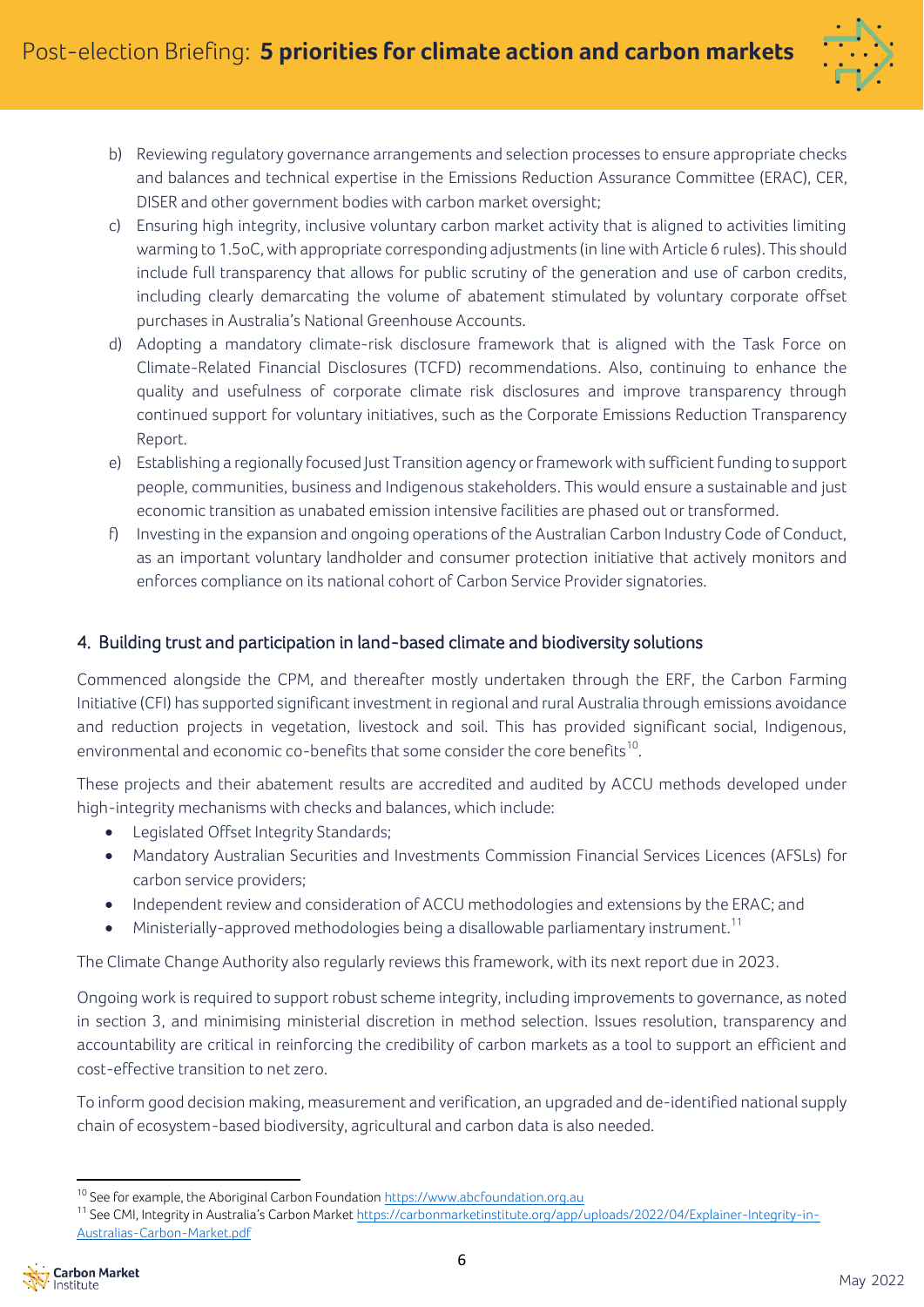

- b) Reviewing regulatory governance arrangements and selection processes to ensure appropriate checks and balances and technical expertise in the Emissions Reduction Assurance Committee (ERAC), CER, DISER and other government bodies with carbon market oversight;
- c) Ensuring high integrity, inclusive voluntary carbon market activity that is aligned to activities limiting warming to 1.5oC, with appropriate corresponding adjustments(in line with Article 6 rules). This should include full transparency that allows for public scrutiny of the generation and use of carbon credits, including clearly demarcating the volume of abatement stimulated by voluntary corporate offset purchases in Australia's National Greenhouse Accounts.
- d) Adopting a mandatory climate-risk disclosure framework that is aligned with the Task Force on Climate-Related Financial Disclosures (TCFD) recommendations. Also, continuing to enhance the quality and usefulness of corporate climate risk disclosures and improve transparency through continued support for voluntary initiatives, such as the Corporate Emissions Reduction Transparency Report.
- e) Establishing a regionally focused Just Transition agency or framework with sufficient funding to support people, communities, business and Indigenous stakeholders. This would ensure a sustainable and just economic transition as unabated emission intensive facilities are phased out or transformed.
- f) Investing in the expansion and ongoing operations of the Australian Carbon Industry Code of Conduct, as an important voluntary landholder and consumer protection initiative that actively monitors and enforces compliance on its national cohort of Carbon Service Provider signatories.

## 4. Building trust and participation in land-based climate and biodiversity solutions

Commenced alongside the CPM, and thereafter mostly undertaken through the ERF, the Carbon Farming Initiative (CFI) has supported significant investment in regional and rural Australia through emissions avoidance and reduction projects in vegetation, livestock and soil. This has provided significant social, Indigenous, environmental and economic co-benefits that some consider the core benefits $^{\rm 10}$ .

These projects and their abatement results are accredited and audited by ACCU methods developed under high-integrity mechanisms with checks and balances, which include:

- Legislated Offset Integrity Standards;
- Mandatory Australian Securities and Investments Commission Financial Services Licences (AFSLs) for carbon service providers;
- Independent review and consideration of ACCU methodologies and extensions by the ERAC; and
- $\bullet$  Ministerially-approved methodologies being a disallowable parliamentary instrument.<sup>11</sup>

The Climate Change Authority also regularly reviews this framework, with its next report due in 2023.

Ongoing work is required to support robust scheme integrity, including improvements to governance, as noted in section 3, and minimising ministerial discretion in method selection. Issues resolution, transparency and accountability are critical in reinforcing the credibility of carbon markets as a tool to support an efficient and cost-effective transition to net zero.

To inform good decision making, measurement and verification, an upgraded and de-identified national supply chain of ecosystem-based biodiversity, agricultural and carbon data is also needed.

<sup>&</sup>lt;sup>11</sup> See CMI, Integrity in Australia's Carbon Market [https://carbonmarketinstitute.org/app/uploads/2022/04/Explainer-Integrity-in-](https://carbonmarketinstitute.org/app/uploads/2022/04/Explainer-Integrity-in-Australias-Carbon-Market.pdf)[Australias-Carbon-Market.pdf](https://carbonmarketinstitute.org/app/uploads/2022/04/Explainer-Integrity-in-Australias-Carbon-Market.pdf)



<sup>&</sup>lt;sup>10</sup> See for example, the Aboriginal Carbon Foundation [https://www.abcfoundation.org.au](https://www.abcfoundation.org.au/)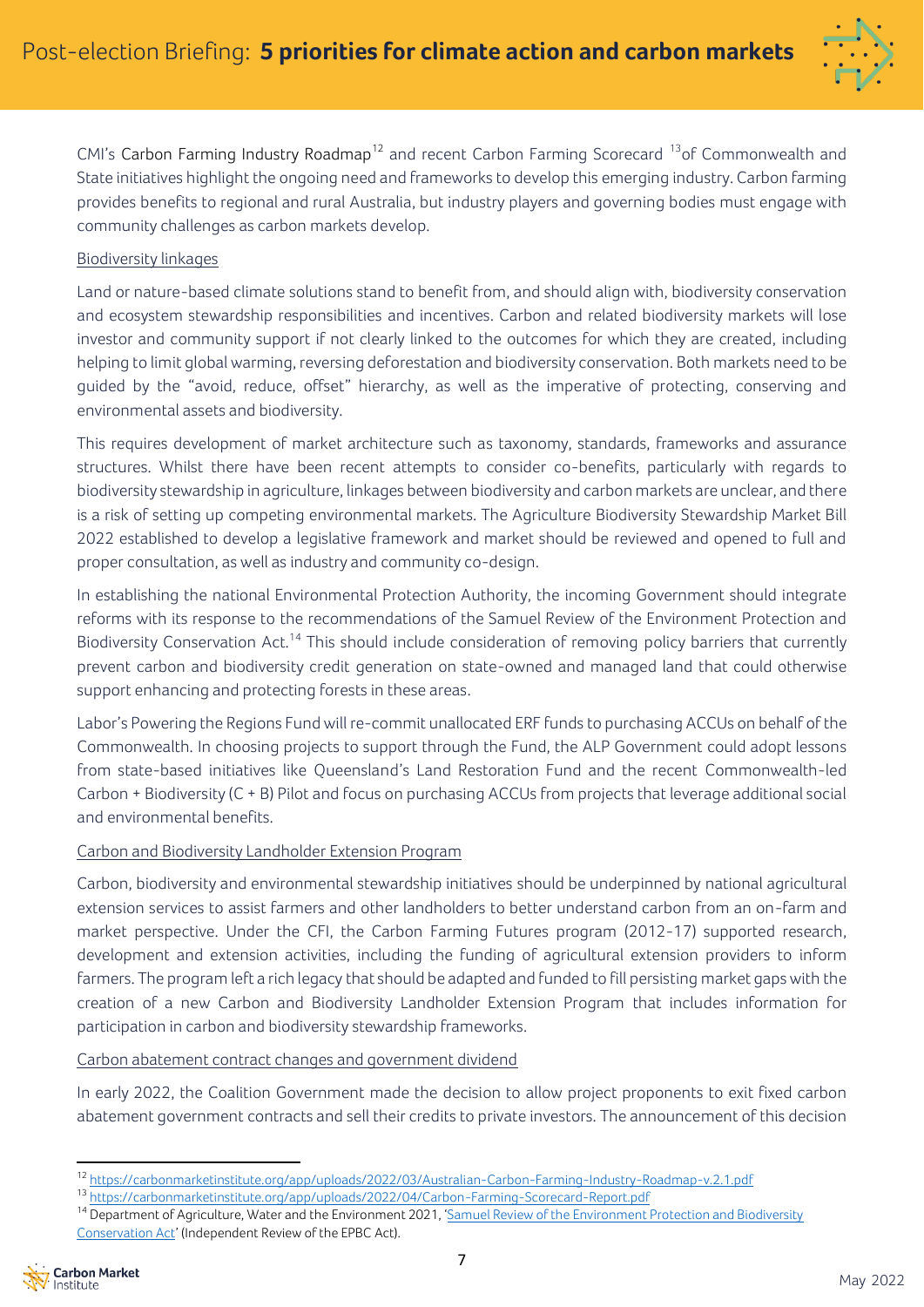

CMI's Carbon Farming Industry Roadmap<sup>12</sup> and recent Carbon Farming Scorecard  $^{13}$ of Commonwealth and State initiatives highlight the ongoing need and frameworks to develop this emerging industry. Carbon farming provides benefits to regional and rural Australia, but industry players and governing bodies must engage with community challenges as carbon markets develop.

#### Biodiversity linkages

Land or nature-based climate solutions stand to benefit from, and should align with, biodiversity conservation and ecosystem stewardship responsibilities and incentives. Carbon and related biodiversity markets will lose investor and community support if not clearly linked to the outcomes for which they are created, including helping to limit global warming, reversing deforestation and biodiversity conservation. Both markets need to be guided by the "avoid, reduce, offset" hierarchy, as well as the imperative of protecting, conserving and environmental assets and biodiversity.

This requires development of market architecture such as taxonomy, standards, frameworks and assurance structures. Whilst there have been recent attempts to consider co-benefits, particularly with regards to biodiversity stewardship in agriculture, linkages between biodiversity and carbon markets are unclear, and there is a risk of setting up competing environmental markets. The Agriculture Biodiversity Stewardship Market Bill 2022 established to develop a legislative framework and market should be reviewed and opened to full and proper consultation, as well as industry and community co-design.

In establishing the national Environmental Protection Authority, the incoming Government should integrate reforms with its response to the recommendations of the Samuel Review of the Environment Protection and Biodiversity Conservation Act.<sup>14</sup> This should include consideration of removing policy barriers that currently prevent carbon and biodiversity credit generation on state-owned and managed land that could otherwise support enhancing and protecting forests in these areas.

Labor's Powering the Regions Fund will re-commit unallocated ERF funds to purchasing ACCUs on behalf of the Commonwealth. In choosing projects to support through the Fund, the ALP Government could adopt lessons from state-based initiatives like Queensland's Land Restoration Fund and the recent Commonwealth-led Carbon + Biodiversity (C + B) Pilot and focus on purchasing ACCUs from projects that leverage additional social and environmental benefits.

## Carbon and Biodiversity Landholder Extension Program

Carbon, biodiversity and environmental stewardship initiatives should be underpinned by national agricultural extension services to assist farmers and other landholders to better understand carbon from an on-farm and market perspective. Under the CFI, the Carbon Farming Futures program (2012-17) supported research, development and extension activities, including the funding of agricultural extension providers to inform farmers. The program left a rich legacy that should be adapted and funded to fill persisting market gapswith the creation of a new Carbon and Biodiversity Landholder Extension Program that includes information for participation in carbon and biodiversity stewardship frameworks.

Carbon abatement contract changes and government dividend

In early 2022, the Coalition Government made the decision to allow project proponents to exit fixed carbon abatement government contracts and sell their credits to private investors. The announcement of this decision

<sup>&</sup>lt;sup>14</sup> Department of Agriculture, Water and the Environment 2021, 'Samuel Review of the Environment Protection and Biodiversity [Conservation Act](https://epbcactreview.environment.gov.au/resources/final-report)' (Independent Review of the EPBC Act).



<sup>12</sup> <https://carbonmarketinstitute.org/app/uploads/2022/03/Australian-Carbon-Farming-Industry-Roadmap-v.2.1.pdf>

<sup>13</sup> <https://carbonmarketinstitute.org/app/uploads/2022/04/Carbon-Farming-Scorecard-Report.pdf>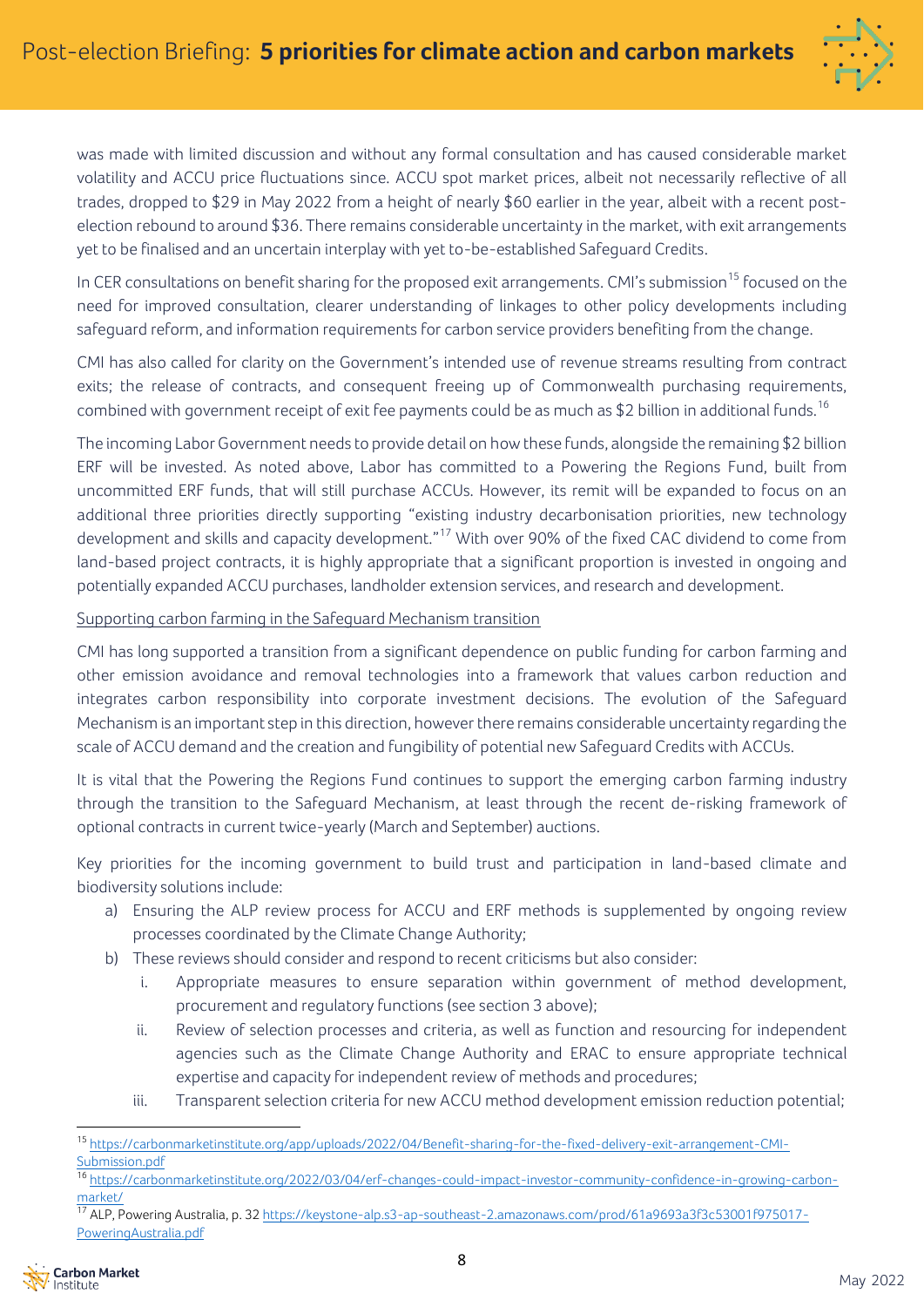

was made with limited discussion and without any formal consultation and has caused considerable market volatility and ACCU price fluctuations since. ACCU spot market prices, albeit not necessarily reflective of all trades, dropped to \$29 in May 2022 from a height of nearly \$60 earlier in the year, albeit with a recent postelection rebound to around \$36. There remains considerable uncertainty in the market, with exit arrangements yet to be finalised and an uncertain interplay with yet to-be-established Safeguard Credits.

In CER consultations on benefit sharing for the proposed exit arrangements. CMI's submission<sup>15</sup> focused on the need for improved consultation, clearer understanding of linkages to other policy developments including safeguard reform, and information requirements for carbon service providers benefiting from the change.

CMI has also called for clarity on the Government's intended use of revenue streams resulting from contract exits; the release of contracts, and consequent freeing up of Commonwealth purchasing requirements, combined with government receipt of exit fee payments could be as much as \$2 billion in additional funds.<sup>16</sup>

The incoming Labor Government needs to provide detail on how these funds, alongside the remaining \$2 billion ERF will be invested. As noted above, Labor has committed to a Powering the Regions Fund, built from uncommitted ERF funds, that will still purchase ACCUs. However, its remit will be expanded to focus on an additional three priorities directly supporting "existing industry decarbonisation priorities, new technology development and skills and capacity development."<sup>17</sup> With over 90% of the fixed CAC dividend to come from land-based project contracts, it is highly appropriate that a significant proportion is invested in ongoing and potentially expanded ACCU purchases, landholder extension services, and research and development.

#### Supporting carbon farming in the Safeguard Mechanism transition

CMI has long supported a transition from a significant dependence on public funding for carbon farming and other emission avoidance and removal technologies into a framework that values carbon reduction and integrates carbon responsibility into corporate investment decisions. The evolution of the Safeguard Mechanism is an important step in this direction, however there remains considerable uncertainty regarding the scale of ACCU demand and the creation and fungibility of potential new Safeguard Credits with ACCUs.

It is vital that the Powering the Regions Fund continues to support the emerging carbon farming industry through the transition to the Safeguard Mechanism, at least through the recent de-risking framework of optional contracts in current twice-yearly (March and September) auctions.

Key priorities for the incoming government to build trust and participation in land-based climate and biodiversity solutions include:

- a) Ensuring the ALP review process for ACCU and ERF methods is supplemented by ongoing review processes coordinated by the Climate Change Authority;
- b) These reviews should consider and respond to recent criticisms but also consider:
	- i. Appropriate measures to ensure separation within government of method development, procurement and regulatory functions (see section 3 above);
	- ii. Review of selection processes and criteria, as well as function and resourcing for independent agencies such as the Climate Change Authority and ERAC to ensure appropriate technical expertise and capacity for independent review of methods and procedures;
	- iii. Transparent selection criteria for new ACCU method development emission reduction potential;

<sup>17</sup> ALP, Powering Australia, p. 32 [https://keystone-alp.s3-ap-southeast-2.amazonaws.com/prod/61a9693a3f3c53001f975017-](https://keystone-alp.s3-ap-southeast-2.amazonaws.com/prod/61a9693a3f3c53001f975017-PoweringAustralia.pdf) [PoweringAustralia.pdf](https://keystone-alp.s3-ap-southeast-2.amazonaws.com/prod/61a9693a3f3c53001f975017-PoweringAustralia.pdf)



<sup>15</sup> [https://carbonmarketinstitute.org/app/uploads/2022/04/Benefit-sharing-for-the-fixed-delivery-exit-arrangement-CMI-](https://carbonmarketinstitute.org/app/uploads/2022/04/Benefit-sharing-for-the-fixed-delivery-exit-arrangement-CMI-Submission.pdf)[Submission.pdf](https://carbonmarketinstitute.org/app/uploads/2022/04/Benefit-sharing-for-the-fixed-delivery-exit-arrangement-CMI-Submission.pdf)

<sup>16</sup> [https://carbonmarketinstitute.org/2022/03/04/erf-changes-could-impact-investor-community-confidence-in-growing-carbon](https://carbonmarketinstitute.org/2022/03/04/erf-changes-could-impact-investor-community-confidence-in-growing-carbon-market/)[market/](https://carbonmarketinstitute.org/2022/03/04/erf-changes-could-impact-investor-community-confidence-in-growing-carbon-market/)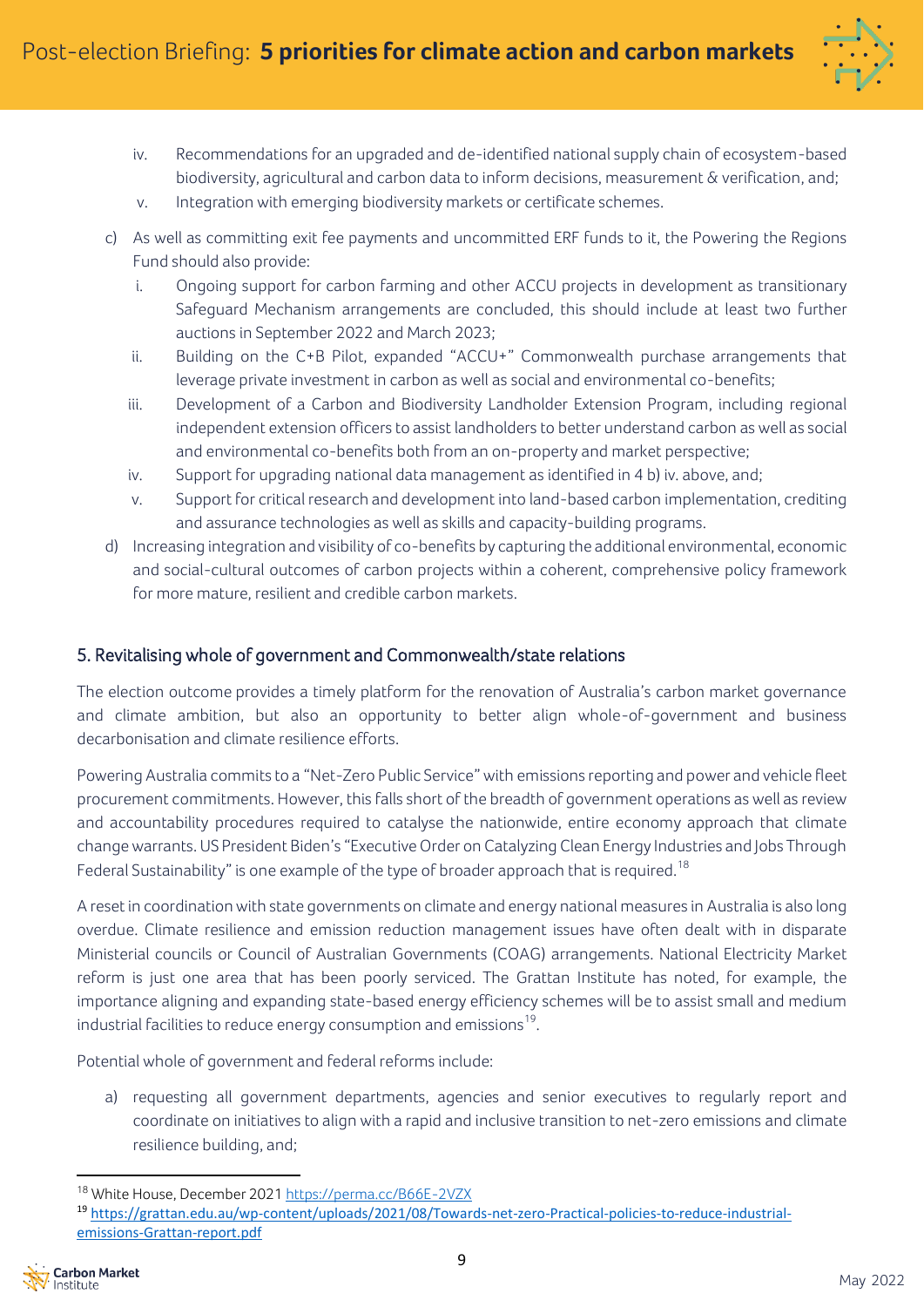

- iv. Recommendations for an upgraded and de-identified national supply chain of ecosystem-based biodiversity, agricultural and carbon data to inform decisions, measurement & verification, and;
- v. Integration with emerging biodiversity markets or certificate schemes.
- c) As well as committing exit fee payments and uncommitted ERF funds to it, the Powering the Regions Fund should also provide:
	- i. Ongoing support for carbon farming and other ACCU projects in development as transitionary Safeguard Mechanism arrangements are concluded, this should include at least two further auctions in September 2022 and March 2023;
	- ii. Building on the C+B Pilot, expanded "ACCU+" Commonwealth purchase arrangements that leverage private investment in carbon as well as social and environmental co-benefits;
	- iii. Development of a Carbon and Biodiversity Landholder Extension Program, including regional independent extension officers to assist landholders to better understand carbon as well as social and environmental co-benefits both from an on-property and market perspective;
	- iv. Support for upgrading national data management as identified in 4 b) iv. above, and;
	- v. Support for critical research and development into land-based carbon implementation, crediting and assurance technologies as well as skills and capacity-building programs.
- d) Increasing integration and visibility of co-benefits by capturing the additional environmental, economic and social-cultural outcomes of carbon projects within a coherent, comprehensive policy framework for more mature, resilient and credible carbon markets.

# 5. Revitalising whole of government and Commonwealth/state relations

The election outcome provides a timely platform for the renovation of Australia's carbon market governance and climate ambition, but also an opportunity to better align whole-of-government and business decarbonisation and climate resilience efforts.

Powering Australia commits to a "Net-Zero Public Service" with emissions reporting and power and vehicle fleet procurement commitments. However, this falls short of the breadth of government operations as well asreview and accountability procedures required to catalyse the nationwide, entire economy approach that climate changewarrants. US President Biden's"Executive Order on Catalyzing Clean Energy Industries and Jobs Through Federal Sustainability" is one example of the type of broader approach that is required. $^{18}$ 

A reset in coordination with state governments on climate and energy national measures in Australia is also long overdue. Climate resilience and emission reduction management issues have often dealt with in disparate Ministerial councils or Council of Australian Governments (COAG) arrangements. National Electricity Market reform is just one area that has been poorly serviced. The Grattan Institute has noted, for example, the importance aligning and expanding state-based energy efficiency schemes will be to assist small and medium industrial facilities to reduce energy consumption and emissions $^{19}$ .

Potential whole of government and federal reforms include:

a) requesting all government departments, agencies and senior executives to regularly report and coordinate on initiatives to align with a rapid and inclusive transition to net-zero emissions and climate resilience building, and;

<sup>19</sup> [https://grattan.edu.au/wp-content/uploads/2021/08/Towards-net-zero-Practical-policies-to-reduce-industrial](https://grattan.edu.au/wp-content/uploads/2021/08/Towards-net-zero-Practical-policies-to-reduce-industrial-emissions-Grattan-report.pdf)[emissions-Grattan-report.pdf](https://grattan.edu.au/wp-content/uploads/2021/08/Towards-net-zero-Practical-policies-to-reduce-industrial-emissions-Grattan-report.pdf)



<sup>&</sup>lt;sup>18</sup> White House, December 202[1 https://perma.cc/B66E-2VZX](https://perma.cc/B66E-2VZX)